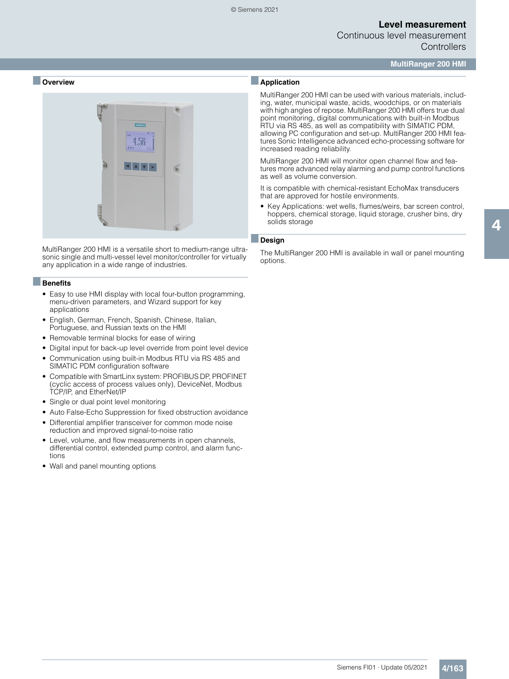Continuous level measurement **Controllers** 

**MultiRanger 200 HMI**

#### ■ **Overview**



MultiRanger 200 HMI is a versatile short to medium-range ultrasonic single and multi-vessel level monitor/controller for virtually any application in a wide range of industries.

#### ■**Benefits**

- Easy to use HMI display with local four-button programming, menu-driven parameters, and Wizard support for key applications
- English, German, French, Spanish, Chinese, Italian, Portuguese, and Russian texts on the HMI
- Removable terminal blocks for ease of wiring
- Digital input for back-up level override from point level device
- Communication using built-in Modbus RTU via RS 485 and SIMATIC PDM configuration software
- Compatible with SmartLinx system: PROFIBUS DP, PROFINET (cyclic access of process values only), DeviceNet, Modbus TCP/IP, and EtherNet/IP
- Single or dual point level monitoring
- Auto False-Echo Suppression for fixed obstruction avoidance
- Differential amplifier transceiver for common mode noise reduction and improved signal-to-noise ratio
- Level, volume, and flow measurements in open channels, differential control, extended pump control, and alarm functions
- Wall and panel mounting options

### ■**Application**

MultiRanger 200 HMI can be used with various materials, including, water, municipal waste, acids, woodchips, or on materials with high angles of repose. MultiRanger 200 HMI offers true dual point monitoring, digital communications with built-in Modbus RTU via RS 485, as well as compatibility with SIMATIC PDM, allowing PC configuration and set-up. MultiRanger 200 HMI features Sonic Intelligence advanced echo-processing software for increased reading reliability.

MultiRanger 200 HMI will monitor open channel flow and features more advanced relay alarming and pump control functions as well as volume conversion.

It is compatible with chemical-resistant EchoMax transducers that are approved for hostile environments.

• Key Applications: wet wells, flumes/weirs, bar screen control, hoppers, chemical storage, liquid storage, crusher bins, dry solids storage

#### ■**Design**

The MultiRanger 200 HMI is available in wall or panel mounting options.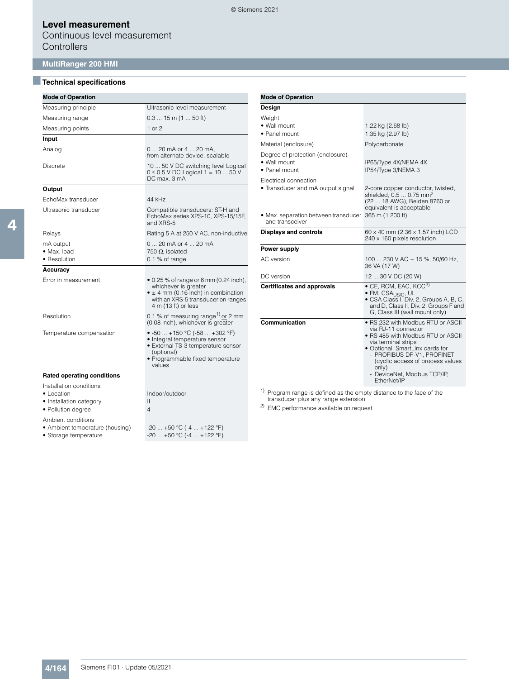Continuous level measurement **Controllers** 

# **MultiRanger 200 HMI**

## ■**Technical specifications**

| <b>Mode of Operation</b>                                                                       |                                                                                                                                                                                    |
|------------------------------------------------------------------------------------------------|------------------------------------------------------------------------------------------------------------------------------------------------------------------------------------|
| Measuring principle                                                                            | Ultrasonic level measurement                                                                                                                                                       |
| Measuring range                                                                                | $0.315$ m (1  50 ft)                                                                                                                                                               |
| Measuring points                                                                               | $1$ or $2$                                                                                                                                                                         |
| Input                                                                                          |                                                                                                                                                                                    |
| Analog                                                                                         | 0  20 mA or 4  20 mA,<br>from alternate device, scalable                                                                                                                           |
| <b>Discrete</b>                                                                                | 10  50 V DC switching level Logical<br>$0 \le 0.5$ V DC Logical 1 = 10  50 V<br>DC max, 3 mA                                                                                       |
| Output                                                                                         |                                                                                                                                                                                    |
| EchoMax transducer                                                                             | 44 kHz                                                                                                                                                                             |
| Ultrasonic transducer                                                                          | Compatible transducers: ST-H and<br>EchoMax series XPS-10, XPS-15/15F,<br>and XRS-5                                                                                                |
| Relays                                                                                         | Rating 5 A at 250 V AC, non-inductive                                                                                                                                              |
| mA output<br>· Max. load<br>• Resolution                                                       | 0  20 mA or 4  20 mA<br>750 $\Omega$ isolated<br>0.1 % of range                                                                                                                    |
| Accuracy                                                                                       |                                                                                                                                                                                    |
| Error in measurement                                                                           | $\bullet$ 0.25 % of range or 6 mm (0.24 inch),<br>whichever is greater<br>$\bullet$ ± 4 mm (0.16 inch) in combination<br>with an XRS-5 transducer on ranges<br>4 m (13 ft) or less |
| Resolution                                                                                     | 0.1 % of measuring range <sup>1)</sup> or 2 mm<br>(0.08 inch), whichever is greater                                                                                                |
| Temperature compensation                                                                       | • $-50$ $+150$ °C ( $-58$ $+302$ °F)<br>· Integral temperature sensor<br>· External TS-3 temperature sensor<br>(optional)<br>• Programmable fixed temperature<br>values            |
| <b>Rated operating conditions</b>                                                              |                                                                                                                                                                                    |
| Installation conditions<br>$\bullet$ Location<br>• Installation category<br>· Pollution degree | Indoor/outdoor<br>Ш<br>4                                                                                                                                                           |
| Ambient conditions<br>• Ambient temperature (housing)                                          | $-20$ $+50$ °C (-4 $+122$ °F)                                                                                                                                                      |

• Storage temperature  $-20$  ... +50 °C (-4 ... +122 °F)

| <b>Mode of Operation</b>                                                                                                               |                                                                                                                                                                                                                                                                                  |  |  |  |  |  |
|----------------------------------------------------------------------------------------------------------------------------------------|----------------------------------------------------------------------------------------------------------------------------------------------------------------------------------------------------------------------------------------------------------------------------------|--|--|--|--|--|
| Design                                                                                                                                 |                                                                                                                                                                                                                                                                                  |  |  |  |  |  |
| Weight<br>• Wall mount<br>• Panel mount                                                                                                | 1.22 kg (2.68 lb)<br>1.35 kg (2.97 lb)                                                                                                                                                                                                                                           |  |  |  |  |  |
| Material (enclosure)                                                                                                                   | Polycarbonate                                                                                                                                                                                                                                                                    |  |  |  |  |  |
| Degree of protection (enclosure)<br>• Wall mount<br>• Panel mount                                                                      | IP65/Type 4X/NEMA 4X<br>IP54/Type 3/NEMA 3                                                                                                                                                                                                                                       |  |  |  |  |  |
| Electrical connection<br>• Transducer and mA output signal<br>• Max. separation between transducer 365 m (1 200 ft)<br>and transceiver | 2-core copper conductor, twisted,<br>shielded, 0.5  0.75 mm <sup>2</sup><br>(22  18 AWG), Belden 8760 or<br>equivalent is acceptable                                                                                                                                             |  |  |  |  |  |
| <b>Displays and controls</b>                                                                                                           | 60 x 40 mm (2.36 x 1.57 inch) LCD<br>240 x 160 pixels resolution                                                                                                                                                                                                                 |  |  |  |  |  |
| Power supply                                                                                                                           |                                                                                                                                                                                                                                                                                  |  |  |  |  |  |
| AC version                                                                                                                             | 100  230 V AC $\pm$ 15 %, 50/60 Hz,<br>36 VA (17 W)                                                                                                                                                                                                                              |  |  |  |  |  |
| DC version                                                                                                                             | 12  30 V DC (20 W)                                                                                                                                                                                                                                                               |  |  |  |  |  |
| <b>Certificates and approvals</b>                                                                                                      | $\bullet$ CE, RCM, EAC, KCC <sup>2)</sup><br>· FM, CSA <sub>US/C</sub> , UL<br>• CSA Class I, Div. 2, Groups A, B, C,<br>and D, Class II, Div. 2, Groups F and<br>G, Class III (wall mount only)                                                                                 |  |  |  |  |  |
| Communication                                                                                                                          | ● RS 232 with Modbus RTU or ASCII<br>via RJ-11 connector<br>• RS 485 with Modbus RTU or ASCII<br>via terminal strips<br>• Optional: SmartLinx cards for<br>- PROFIBUS DP-V1, PROFINET<br>(cyclic access of process values<br>only)<br>- DeviceNet, Modbus TCP/IP,<br>EtherNet/IP |  |  |  |  |  |

1) Program range is defined as the empty distance to the face of the transducer plus any range extension

2) EMC performance available on request

4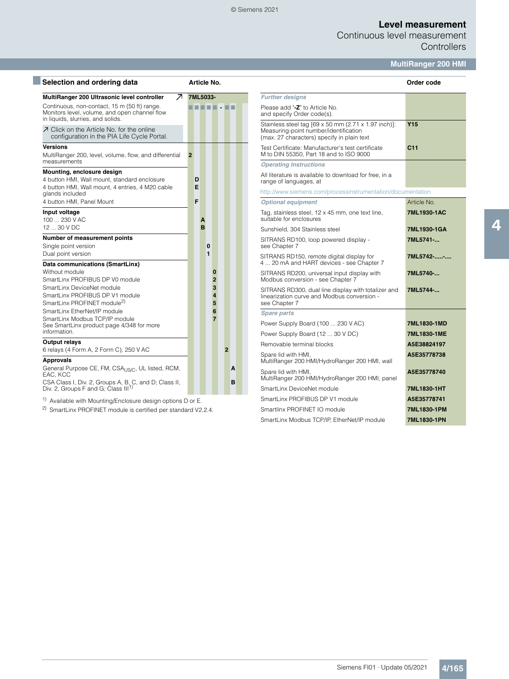#### © Siemens 2021

# **Level measurement**

Continuous level measurement **Controllers** 

# **MultiRanger 200 HMI**

| Selection and ordering data                                                                                                        |                | Article No.                |                |   |                                                                                                                                             | Order code      |
|------------------------------------------------------------------------------------------------------------------------------------|----------------|----------------------------|----------------|---|---------------------------------------------------------------------------------------------------------------------------------------------|-----------------|
| $\overline{\mathcal{A}}$<br>MultiRanger 200 Ultrasonic level controller                                                            |                | 7ML5033-                   |                |   | <b>Further designs</b>                                                                                                                      |                 |
| Continuous, non-contact, 15 m (50 ft) range.<br>Monitors level, volume, and open channel flow<br>in liquids, slurries, and solids. |                |                            |                |   | Please add "-Z" to Article No.<br>and specify Order code(s).                                                                                |                 |
| 7 Click on the Article No. for the online<br>configuration in the PIA Life Cycle Portal.                                           |                |                            |                |   | Stainless steel tag [69 x 50 mm (2.71 x 1.97 inch)]:<br>Measuring-point number/identification<br>(max. 27 characters) specify in plain text | <b>Y15</b>      |
| <b>Versions</b><br>MultiRanger 200, level, volume, flow, and differential                                                          | $\overline{2}$ |                            |                |   | Test Certificate: Manufacturer's test certificate<br>M to DIN 55350, Part 18 and to ISO 9000                                                | C <sub>11</sub> |
| measurements                                                                                                                       |                |                            |                |   | <b>Operating Instructions</b>                                                                                                               |                 |
| Mounting, enclosure design<br>4 button HMI, Wall mount, standard enclosure                                                         | D<br>E         |                            |                |   | All literature is available to download for free, in a<br>range of languages, at                                                            |                 |
| 4 button HMI, Wall mount, 4 entries, 4 M20 cable<br>glands included                                                                |                |                            |                |   | http://www.siemens.com/processinstrumentation/documentation                                                                                 |                 |
| 4 button HMI, Panel Mount                                                                                                          | F              |                            |                |   | <b>Optional equipment</b>                                                                                                                   | Article No.     |
| Input voltage<br>100  230 V AC                                                                                                     |                | A                          |                |   | Tag, stainless steel, 12 x 45 mm, one text line,<br>suitable for enclosures                                                                 | 7ML1930-1/      |
| 12  30 V DC                                                                                                                        |                | B                          |                |   | Sunshield, 304 Stainless steel                                                                                                              | 7ML1930-10      |
| Number of measurement points<br>Single point version                                                                               |                | $\bf{0}$                   |                |   | SITRANS RD100, loop powered display -<br>see Chapter 7                                                                                      | 7ML5741-        |
| Dual point version<br>Data communications (SmartLinx)                                                                              |                | 1                          |                |   | SITRANS RD150, remote digital display for<br>4  20 mA and HART devices - see Chapter 7                                                      | 7ML5742-        |
| Without module<br>SmartLinx PROFIBUS DP V0 module                                                                                  |                | $\bf{0}$<br>$\overline{2}$ |                |   | SITRANS RD200, universal input display with<br>Modbus conversion - see Chapter 7                                                            | 7ML5740-        |
| SmartLinx DeviceNet module<br>SmartLinx PROFIBUS DP V1 module<br>SmartLinx PROFINET module <sup>2)</sup>                           |                | 3<br>$\boldsymbol{A}$<br>5 |                |   | SITRANS RD300, dual line display with totalizer and<br>linearization curve and Modbus conversion -<br>see Chapter 7                         | 7ML5744-        |
| SmartLinx EtherNet/IP module                                                                                                       |                | 6                          |                |   | <b>Spare parts</b>                                                                                                                          |                 |
| SmartLinx Modbus TCP/IP module<br>See SmartLinx product page 4/348 for more                                                        |                | $\overline{7}$             |                |   | Power Supply Board (100  230 V AC)                                                                                                          | 7ML1830-1M      |
| information.                                                                                                                       |                |                            |                |   | Power Supply Board (12  30 V DC)                                                                                                            | 7ML1830-1M      |
| <b>Output relays</b>                                                                                                               |                |                            |                |   | Removable terminal blocks                                                                                                                   | A5E3882419      |
| 6 relays (4 Form A, 2 Form C), 250 V AC                                                                                            |                |                            | $\overline{2}$ |   | Spare lid with HMI.                                                                                                                         | A5E3577873      |
| <b>Approvals</b><br>General Purpose CE, FM, CSA <sub>US/C</sub> , UL listed, RCM,                                                  |                |                            |                | A | MultiRanger 200 HMI/HydroRanger 200 HMI, wall                                                                                               |                 |
| EAC, KCC<br>CSA Class I, Div. 2, Groups A, B, C, and D; Class II,                                                                  |                |                            |                | в | Spare lid with HMI.<br>MultiRanger 200 HMI/HydroRanger 200 HMI, panel                                                                       | A5E3577874      |
| Div. 2, Groups F and G; Class III <sup>1)</sup>                                                                                    |                |                            |                |   | SmartLinx DeviceNet module                                                                                                                  | 7ML1830-1I      |

<sup>1)</sup> Available with Mounting/Enclosure design options D or E.

<sup>2)</sup> SmartLinx PROFINET module is certified per standard V2.2.4.

|                                                                                                                                             | Order code      |
|---------------------------------------------------------------------------------------------------------------------------------------------|-----------------|
| <b>Further designs</b>                                                                                                                      |                 |
| Please add "-Z" to Article No.<br>and specify Order code(s).                                                                                |                 |
| Stainless steel tag [69 x 50 mm (2.71 x 1.97 inch)]:<br>Measuring-point number/identification<br>(max. 27 characters) specify in plain text | <b>Y15</b>      |
| Test Certificate: Manufacturer's test certificate<br>M to DIN 55350, Part 18 and to ISO 9000                                                | C <sub>11</sub> |
| <b>Operating Instructions</b>                                                                                                               |                 |
| All literature is available to download for free, in a<br>range of languages, at                                                            |                 |
| http://www.siemens.com/processinstrumentation/documentation                                                                                 |                 |
| <b>Optional equipment</b>                                                                                                                   | Article No.     |
| Tag, stainless steel, 12 x 45 mm, one text line,<br>suitable for enclosures                                                                 | 7ML1930-1AC     |
| Sunshield, 304 Stainless steel                                                                                                              | 7ML1930-1GA     |
| SITRANS RD100, loop powered display -<br>see Chapter 7                                                                                      | 7ML5741-        |
| SITRANS RD150, remote digital display for<br>4  20 mA and HART devices - see Chapter 7                                                      | 7ML5742--       |
| SITRANS RD200, universal input display with<br>Modbus conversion - see Chapter 7                                                            | 7ML5740-        |
| SITRANS RD300, dual line display with totalizer and<br>linearization curve and Modbus conversion -<br>see Chapter 7                         | 7ML5744-        |
| <b>Spare parts</b>                                                                                                                          |                 |
| Power Supply Board (100  230 V AC)                                                                                                          | 7ML1830-1MD     |
| Power Supply Board (12  30 V DC)                                                                                                            | 7ML1830-1ME     |
| Removable terminal blocks                                                                                                                   | A5E38824197     |
| Spare lid with HMI,<br>MultiRanger 200 HMI/HydroRanger 200 HMI, wall                                                                        | A5E35778738     |
| Spare lid with HMI,<br>MultiRanger 200 HMI/HydroRanger 200 HMI, panel                                                                       | A5E35778740     |
| SmartLinx DeviceNet module                                                                                                                  | 7ML1830-1HT     |
| SmartLinx PROFIBUS DP V1 module                                                                                                             | A5E35778741     |
| Smartlinx PROFINET IO module                                                                                                                | 7ML1830-1PM     |
| SmartLinx Modbus TCP/IP, EtherNet/IP module                                                                                                 | 7ML1830-1PN     |

4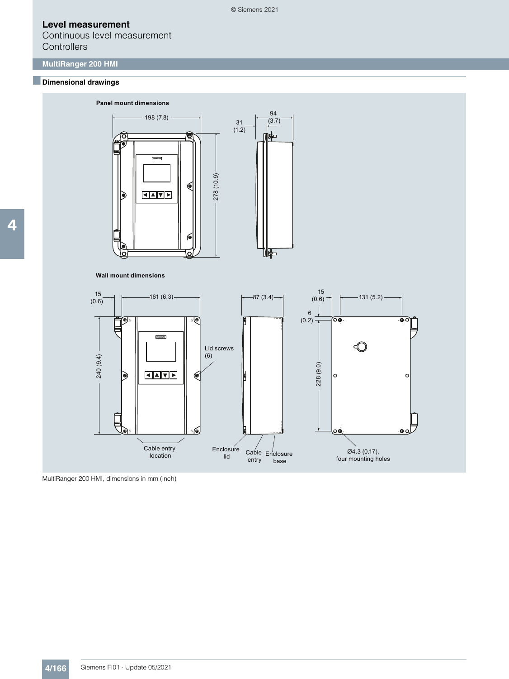Continuous level measurement **Controllers** 

# **MultiRanger 200 HMI**

### ■**Dimensional drawings**



MultiRanger 200 HMI, dimensions in mm (inch)